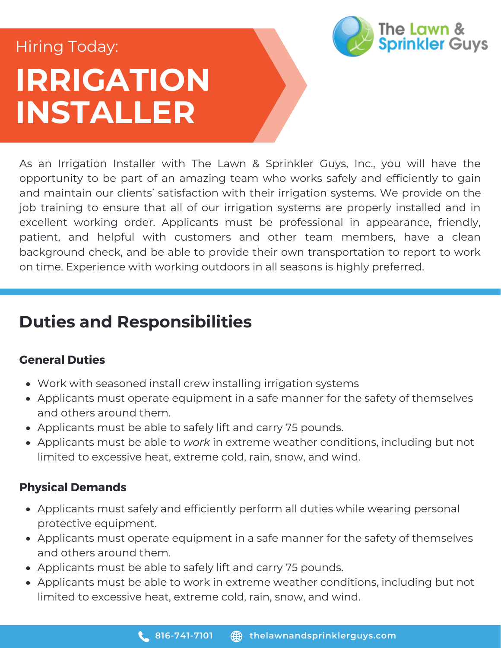# **IRRIGATION INSTALLER** Hiring Today:



As an Irrigation Installer with The Lawn & Sprinkler Guys, Inc., you will have the opportunity to be part of an amazing team who works safely and efficiently to gain and maintain our clients' satisfaction with their irrigation systems. We provide on the job training to ensure that all of our irrigation systems are properly installed and in excellent working order. Applicants must be professional in appearance, friendly, patient, and helpful with customers and other team members, have a clean background check, and be able to provide their own transportation to report to work on time. Experience with working outdoors in all seasons is highly preferred.

## **Duties and Responsibilities**

### **General Duties**

- Work with seasoned install crew installing irrigation systems
- Applicants must operate equipment in a safe manner for the safety of themselves and others around them.
- Applicants must be able to safely lift and carry 75 pounds.
- Applicants must be able to *work* in extreme weather conditions, including but not limited to excessive heat, extreme cold, rain, snow, and wind.

### **Physical Demands**

- Applicants must safely and efficiently perform all duties while wearing personal protective equipment.
- Applicants must operate equipment in a safe manner for the safety of themselves and others around them.
- Applicants must be able to safely lift and carry 75 pounds.
- Applicants must be able to work in extreme weather conditions, including but not limited to excessive heat, extreme cold, rain, snow, and wind.